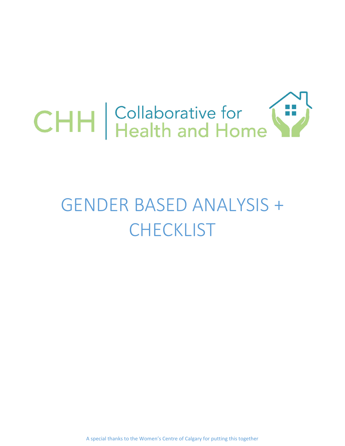

# GENDER BASED ANALYSIS + **CHECKLIST**

A special thanks to the Women's Centre of Calgary for putting this together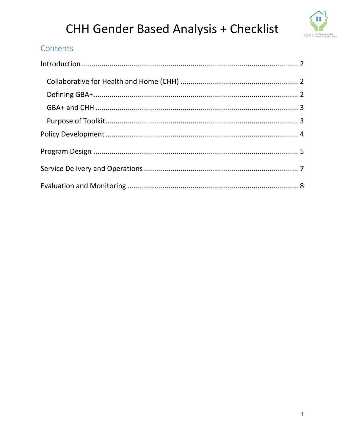

### Contents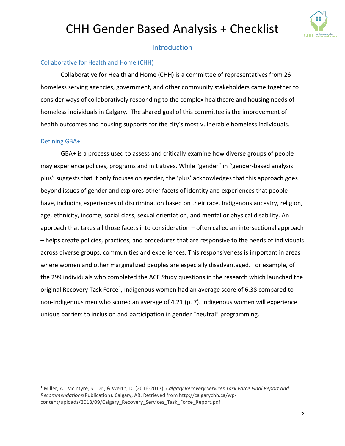

#### Introduction

#### <span id="page-2-1"></span><span id="page-2-0"></span>Collaborative for Health and Home (CHH)

Collaborative for Health and Home (CHH) is a committee of representatives from 26 homeless serving agencies, government, and other community stakeholders came together to consider ways of collaboratively responding to the complex healthcare and housing needs of homeless individuals in Calgary. The shared goal of this committee is the improvement of health outcomes and housing supports for the city's most vulnerable homeless individuals.

#### <span id="page-2-2"></span>Defining GBA+

 $\overline{a}$ 

GBA+ is a process used to assess and critically examine how diverse groups of people may experience policies, programs and initiatives. While "gender" in "gender-based analysis plus" suggests that it only focuses on gender, the 'plus' acknowledges that this approach goes beyond issues of gender and explores other facets of identity and experiences that people have, including experiences of discrimination based on their race, Indigenous ancestry, religion, age, ethnicity, income, social class, sexual orientation, and mental or physical disability. An approach that takes all those facets into consideration – often called an intersectional approach – helps create policies, practices, and procedures that are responsive to the needs of individuals across diverse groups, communities and experiences. This responsiveness is important in areas where women and other marginalized peoples are especially disadvantaged. For example, of the 299 individuals who completed the ACE Study questions in the research which launched the original Recovery Task Force<sup>1</sup>, Indigenous women had an average score of 6.38 compared to non-Indigenous men who scored an average of 4.21 (p. 7). Indigenous women will experience unique barriers to inclusion and participation in gender "neutral" programming.

<sup>1</sup> Miller, A., McIntyre, S., Dr., & Werth, D. (2016-2017). *Calgary Recovery Services Task Force Final Report and Recommendations*(Publication). Calgary, AB. Retrieved from http://calgarychh.ca/wpcontent/uploads/2018/09/Calgary\_Recovery\_Services\_Task\_Force\_Report.pdf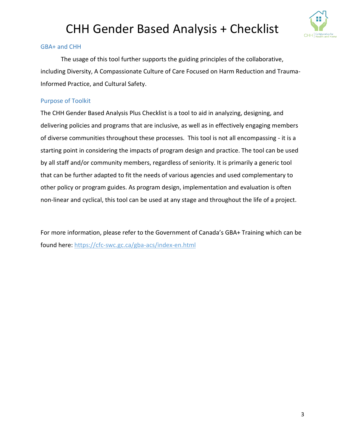

#### <span id="page-3-0"></span>GBA+ and CHH

The usage of this tool further supports the guiding principles of the collaborative, including Diversity, A Compassionate Culture of Care Focused on Harm Reduction and Trauma-Informed Practice, and Cultural Safety.

#### <span id="page-3-1"></span>Purpose of Toolkit

The CHH Gender Based Analysis Plus Checklist is a tool to aid in analyzing, designing, and delivering policies and programs that are inclusive, as well as in effectively engaging members of diverse communities throughout these processes. This tool is not all encompassing - it is a starting point in considering the impacts of program design and practice. The tool can be used by all staff and/or community members, regardless of seniority. It is primarily a generic tool that can be further adapted to fit the needs of various agencies and used complementary to other policy or program guides. As program design, implementation and evaluation is often non-linear and cyclical, this tool can be used at any stage and throughout the life of a project.

For more information, please refer to the Government of Canada's GBA+ Training which can be found here:<https://cfc-swc.gc.ca/gba-acs/index-en.html>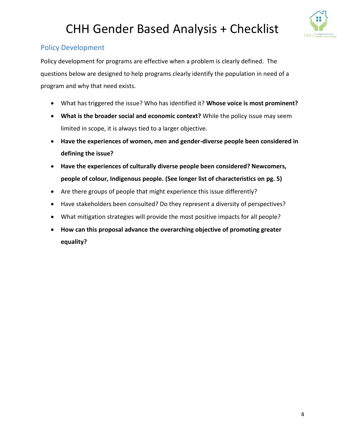

### <span id="page-4-0"></span>Policy Development

Policy development for programs are effective when a problem is clearly defined. The questions below are designed to help programs clearly identify the population in need of a program and why that need exists.

- What has triggered the issue? Who has identified it? **Whose voice is most prominent?**
- **What is the broader social and economic context?** While the policy issue may seem limited in scope, it is always tied to a larger objective.
- **Have the experiences of women, men and gender-diverse people been considered in defining the issue?**
- **Have the experiences of culturally diverse people been considered? Newcomers, people of colour, Indigenous people. (See longer list of characteristics on pg. 5)**
- Are there groups of people that might experience this issue differently?
- Have stakeholders been consulted? Do they represent a diversity of perspectives?
- What mitigation strategies will provide the most positive impacts for all people?
- **How can this proposal advance the overarching objective of promoting greater equality?**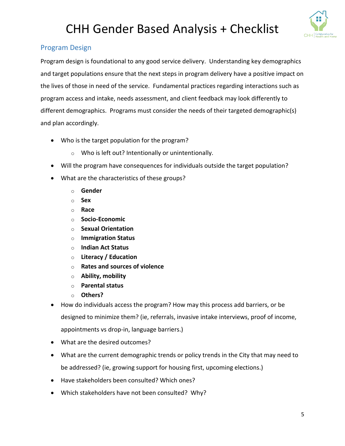

#### <span id="page-5-0"></span>Program Design

Program design is foundational to any good service delivery. Understanding key demographics and target populations ensure that the next steps in program delivery have a positive impact on the lives of those in need of the service. Fundamental practices regarding interactions such as program access and intake, needs assessment, and client feedback may look differently to different demographics. Programs must consider the needs of their targeted demographic(s) and plan accordingly.

- Who is the target population for the program?
	- o Who is left out? Intentionally or unintentionally.
- Will the program have consequences for individuals outside the target population?
- What are the characteristics of these groups?
	- o **Gender**
	- o **Sex**
	- o **Race**
	- o **Socio-Economic**
	- o **Sexual Orientation**
	- o **Immigration Status**
	- o **Indian Act Status**
	- o **Literacy / Education**
	- o **Rates and sources of violence**
	- o **Ability, mobility**
	- o **Parental status**
	- o **Others?**
- How do individuals access the program? How may this process add barriers, or be designed to minimize them? (ie, referrals, invasive intake interviews, proof of income, appointments vs drop-in, language barriers.)
- What are the desired outcomes?
- What are the current demographic trends or policy trends in the City that may need to be addressed? (ie, growing support for housing first, upcoming elections.)
- Have stakeholders been consulted? Which ones?
- Which stakeholders have not been consulted? Why?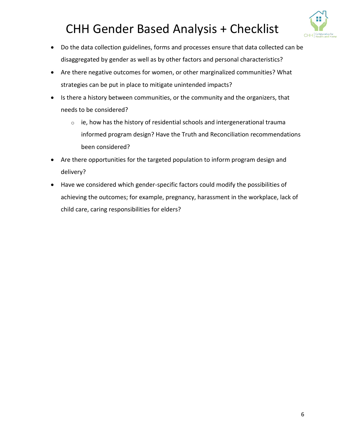

- Do the data collection guidelines, forms and processes ensure that data collected can be disaggregated by gender as well as by other factors and personal characteristics?
- Are there negative outcomes for women, or other marginalized communities? What strategies can be put in place to mitigate unintended impacts?
- Is there a history between communities, or the community and the organizers, that needs to be considered?
	- $\circ$  ie, how has the history of residential schools and intergenerational trauma informed program design? Have the Truth and Reconciliation recommendations been considered?
- Are there opportunities for the targeted population to inform program design and delivery?
- Have we considered which gender-specific factors could modify the possibilities of achieving the outcomes; for example, pregnancy, harassment in the workplace, lack of child care, caring responsibilities for elders?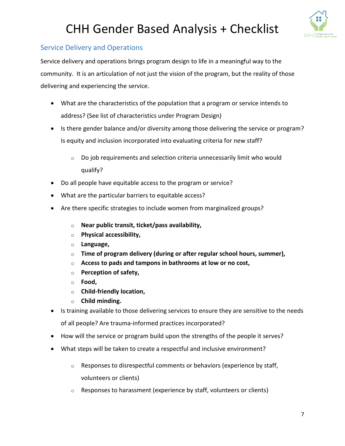

#### <span id="page-7-0"></span>Service Delivery and Operations

Service delivery and operations brings program design to life in a meaningful way to the community. It is an articulation of not just the vision of the program, but the reality of those delivering and experiencing the service.

- What are the characteristics of the population that a program or service intends to address? (See list of characteristics under Program Design)
- Is there gender balance and/or diversity among those delivering the service or program? Is equity and inclusion incorporated into evaluating criteria for new staff?
	- o Do job requirements and selection criteria unnecessarily limit who would qualify?
- Do all people have equitable access to the program or service?
- What are the particular barriers to equitable access?
- Are there specific strategies to include women from marginalized groups?
	- o **Near public transit, ticket/pass availability,**
	- o **Physical accessibility,**
	- o **Language,**
	- o **Time of program delivery (during or after regular school hours, summer),**
	- o **Access to pads and tampons in bathrooms at low or no cost,**
	- o **Perception of safety,**
	- o **Food,**
	- o **Child-friendly location,**
	- o **Child minding.**
- Is training available to those delivering services to ensure they are sensitive to the needs of all people? Are trauma-informed practices incorporated?
- How will the service or program build upon the strengths of the people it serves?
- What steps will be taken to create a respectful and inclusive environment?
	- o Responses to disrespectful comments or behaviors (experience by staff, volunteers or clients)
	- $\circ$  Responses to harassment (experience by staff, volunteers or clients)